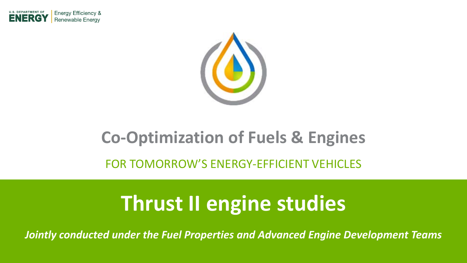



#### **Co-Optimization of Fuels & Engines**

FOR TOMORROW'S ENERGY-EFFICIENT VEHICLES

## **Thrust II engine studies**

*Jointly conducted under the Fuel Properties and Advanced Engine Development Teams*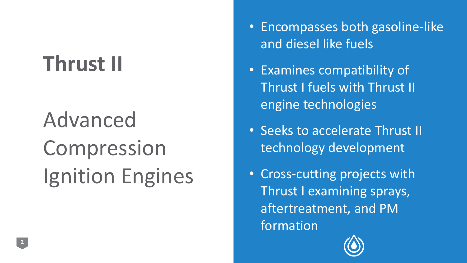# **Thrust II**

# Advanced Compression Ignition Engines

- Encompasses both gasoline-like and diesel like fuels
- Examines compatibility of Thrust I fuels with Thrust II engine technologies
- Seeks to accelerate Thrust II technology development
- Cross-cutting projects with Thrust I examining sprays, aftertreatment, and PM formation

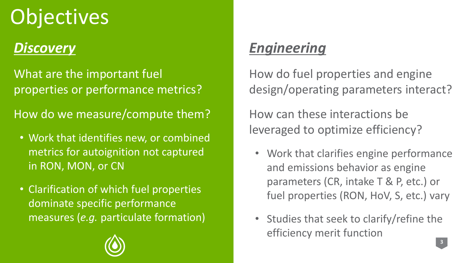# **Objectives**

#### *Discovery*

What are the important fuel properties or performance metrics?

How do we measure/compute them?

- Work that identifies new, or combined metrics for autoignition not captured in RON, MON, or CN
- Clarification of which fuel properties dominate specific performance measures (*e.g.* particulate formation)

#### *Engineering*

How do fuel properties and engine design/operating parameters interact?

How can these interactions be leveraged to optimize efficiency?

- Work that clarifies engine performance and emissions behavior as engine parameters (CR, intake T & P, etc.) or fuel properties (RON, HoV, S, etc.) vary
- Studies that seek to clarify/refine the efficiency merit function

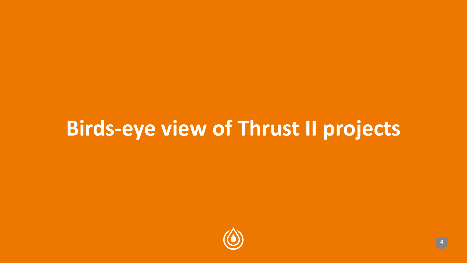# **Birds-eye view of Thrust II projects**

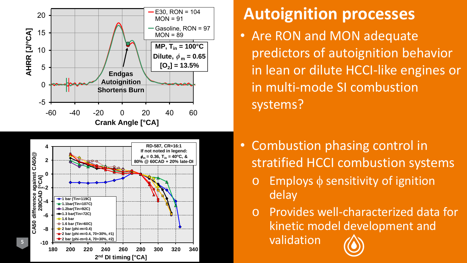



#### **Autoignition processes**

- Are RON and MON adequate predictors of autoignition behavior in lean or dilute HCCI -like engines or in multi -mode SI combustion systems?
- Combustion phasing control in stratified HCCI combustion systems
	- Employs  $\phi$  sensitivity of ignition delay

o Provides well -characterized data for kinetic model development and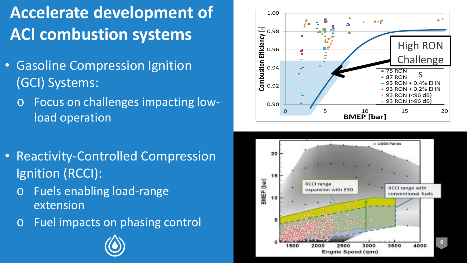## **Accelerate development of ACI combustion systems**

- Gasoline Compression Ignition (GCI) Systems:
	- o Focus on challenges impacting lowload operation



- Reactivity-Controlled Compression Ignition (RCCI):
	- o Fuels enabling load-range extension
	- o Fuel impacts on phasing control

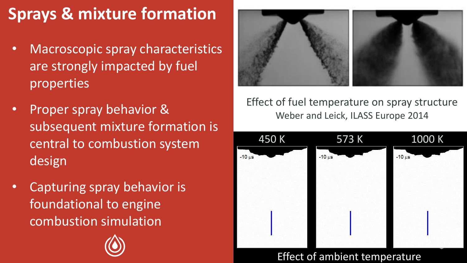## **Sprays & mixture formation**

- Macroscopic spray characteristics are strongly impacted by fuel properties
- Proper spray behavior & subsequent mixture formation is central to combustion system design
- Capturing spray behavior is foundational to engine combustion simulation





Effect of fuel temperature on spray structure Weber and Leick, ILASS Europe 2014



Effect of ambient temperature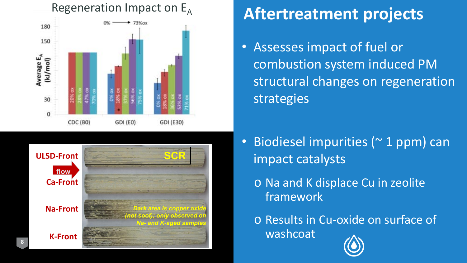

## Regeneration Impact on E<sub>A</sub> **Aftertreatment projects**

• Assesses impact of fuel or combustion system induced PM structural changes on regeneration strategies



**flow** *Front SCR Rear SCR*

- Biodiesel impurities (~ 1 ppm) can impact catalysts
	- o Na and K displace Cu in zeolite framework

o Results in Cu-oxide on surface of washcoat